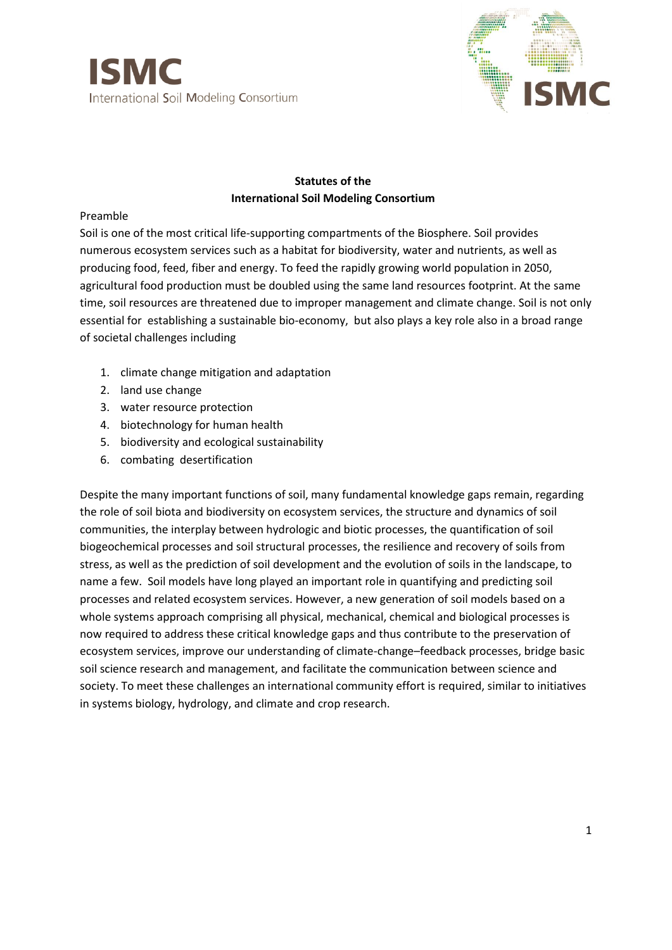



### **Statutes of the International Soil Modeling Consortium**

#### Preamble

Soil is one of the most critical life-supporting compartments of the Biosphere. Soil provides numerous ecosystem services such as a habitat for biodiversity, water and nutrients, as well as producing food, feed, fiber and energy. To feed the rapidly growing world population in 2050, agricultural food production must be doubled using the same land resources footprint. At the same time, soil resources are threatened due to improper management and climate change. Soil is not only essential for establishing a sustainable bio-economy, but also plays a key role also in a broad range of societal challenges including

- 1. climate change mitigation and adaptation
- 2. land use change
- 3. water resource protection
- 4. biotechnology for human health
- 5. biodiversity and ecological sustainability
- 6. combating desertification

Despite the many important functions of soil, many fundamental knowledge gaps remain, regarding the role of soil biota and biodiversity on ecosystem services, the structure and dynamics of soil communities, the interplay between hydrologic and biotic processes, the quantification of soil biogeochemical processes and soil structural processes, the resilience and recovery of soils from stress, as well as the prediction of soil development and the evolution of soils in the landscape, to name a few. Soil models have long played an important role in quantifying and predicting soil processes and related ecosystem services. However, a new generation of soil models based on a whole systems approach comprising all physical, mechanical, chemical and biological processes is now required to address these critical knowledge gaps and thus contribute to the preservation of ecosystem services, improve our understanding of climate-change–feedback processes, bridge basic soil science research and management, and facilitate the communication between science and society. To meet these challenges an international community effort is required, similar to initiatives in systems biology, hydrology, and climate and crop research.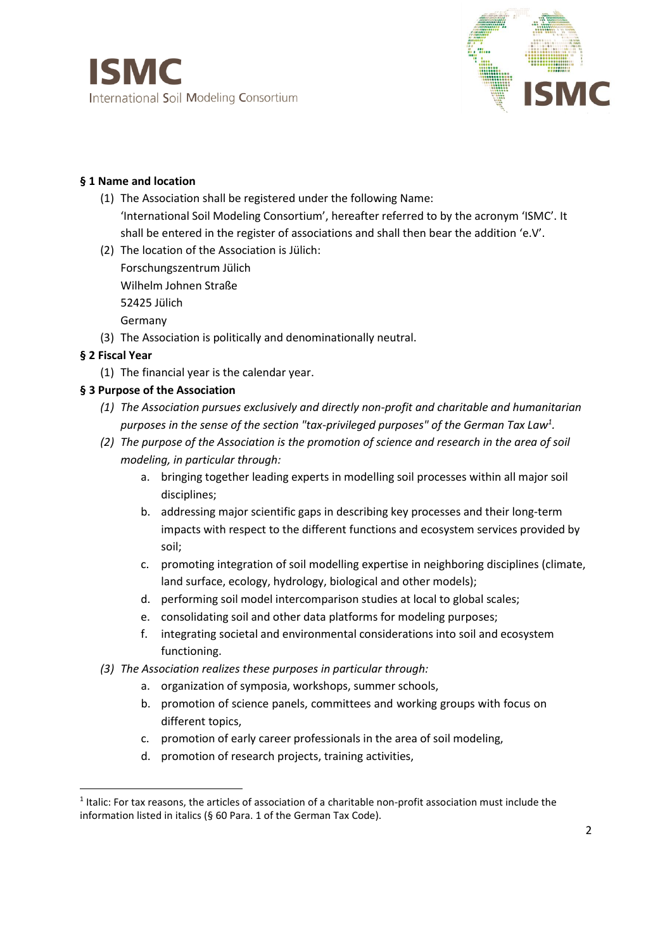

## **§ 1 Name and location**

- (1) The Association shall be registered under the following Name: 'International Soil Modeling Consortium', hereafter referred to by the acronym 'ISMC'. It shall be entered in the register of associations and shall then bear the addition 'e.V'.
- (2) The location of the Association is Jülich: Forschungszentrum Jülich Wilhelm Johnen Straße 52425 Jülich Germany
- (3) The Association is politically and denominationally neutral.

# **§ 2 Fiscal Year**

**.** 

(1) The financial year is the calendar year.

## **§ 3 Purpose of the Association**

- *(1) The Association pursues exclusively and directly non-profit and charitable and humanitarian purposes in the sense of the section "tax-privileged purposes" of the German Tax Law<sup>1</sup> .*
- *(2) The purpose of the Association is the promotion of science and research in the area of soil modeling, in particular through:*
	- a. bringing together leading experts in modelling soil processes within all major soil disciplines;
	- b. addressing major scientific gaps in describing key processes and their long-term impacts with respect to the different functions and ecosystem services provided by soil;
	- c. promoting integration of soil modelling expertise in neighboring disciplines (climate, land surface, ecology, hydrology, biological and other models);
	- d. performing soil model intercomparison studies at local to global scales;
	- e. consolidating soil and other data platforms for modeling purposes;
	- f. integrating societal and environmental considerations into soil and ecosystem functioning.
- *(3) The Association realizes these purposes in particular through:*
	- a. organization of symposia, workshops, summer schools,
	- b. promotion of science panels, committees and working groups with focus on different topics,
	- c. promotion of early career professionals in the area of soil modeling,
	- d. promotion of research projects, training activities,

 $<sup>1</sup>$  Italic: For tax reasons, the articles of association of a charitable non-profit association must include the</sup> information listed in italics (§ 60 Para. 1 of the German Tax Code).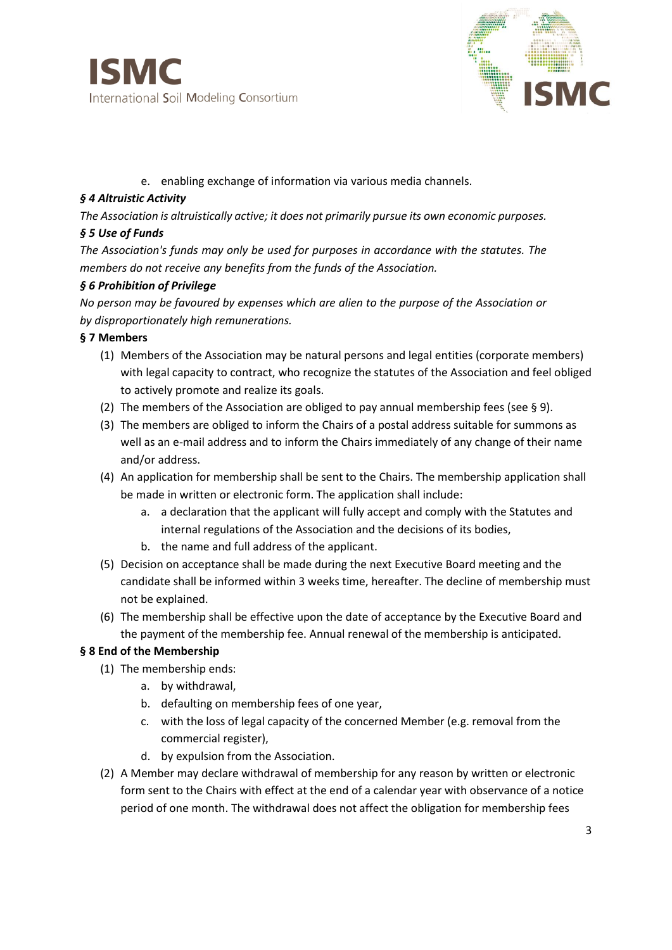



e. enabling exchange of information via various media channels.

#### *§ 4 Altruistic Activity*

*The Association is altruistically active; it does not primarily pursue its own economic purposes. § 5 Use of Funds*

*The Association's funds may only be used for purposes in accordance with the statutes. The members do not receive any benefits from the funds of the Association.* 

#### *§ 6 Prohibition of Privilege*

*No person may be favoured by expenses which are alien to the purpose of the Association or by disproportionately high remunerations.* 

### **§ 7 Members**

- (1) Members of the Association may be natural persons and legal entities (corporate members) with legal capacity to contract, who recognize the statutes of the Association and feel obliged to actively promote and realize its goals.
- (2) The members of the Association are obliged to pay annual membership fees (see § 9).
- (3) The members are obliged to inform the Chairs of a postal address suitable for summons as well as an e-mail address and to inform the Chairs immediately of any change of their name and/or address.
- (4) An application for membership shall be sent to the Chairs. The membership application shall be made in written or electronic form. The application shall include:
	- a. a declaration that the applicant will fully accept and comply with the Statutes and internal regulations of the Association and the decisions of its bodies,
	- b. the name and full address of the applicant.
- (5) Decision on acceptance shall be made during the next Executive Board meeting and the candidate shall be informed within 3 weeks time, hereafter. The decline of membership must not be explained.
- (6) The membership shall be effective upon the date of acceptance by the Executive Board and the payment of the membership fee. Annual renewal of the membership is anticipated.

## **§ 8 End of the Membership**

- (1) The membership ends:
	- a. by withdrawal,
		- b. defaulting on membership fees of one year,
		- c. with the loss of legal capacity of the concerned Member (e.g. removal from the commercial register),
		- d. by expulsion from the Association.
- (2) A Member may declare withdrawal of membership for any reason by written or electronic form sent to the Chairs with effect at the end of a calendar year with observance of a notice period of one month. The withdrawal does not affect the obligation for membership fees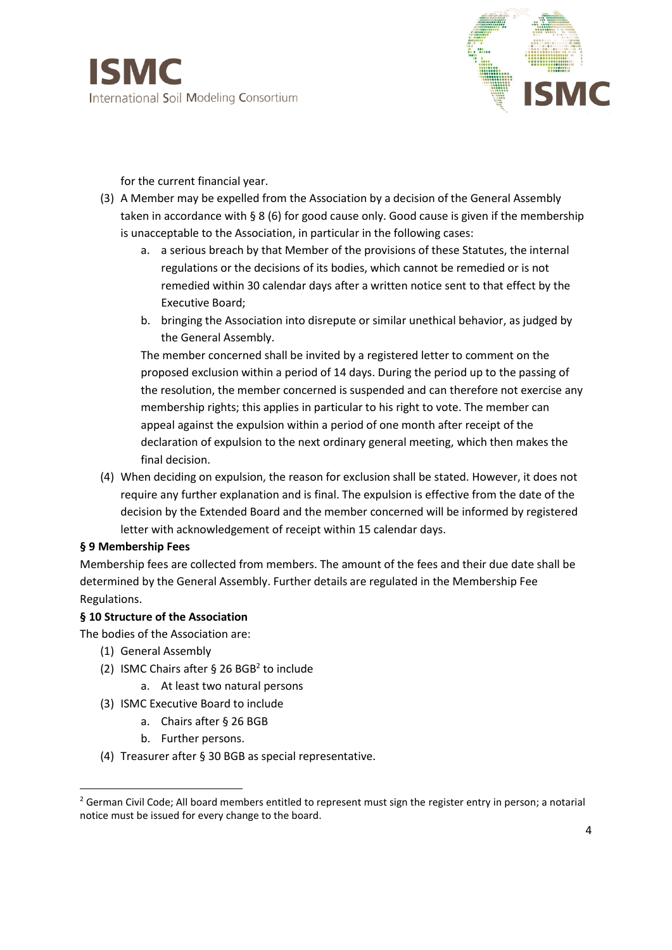



for the current financial year.

- (3) A Member may be expelled from the Association by a decision of the General Assembly taken in accordance with § 8 (6) for good cause only. Good cause is given if the membership is unacceptable to the Association, in particular in the following cases:
	- a. a serious breach by that Member of the provisions of these Statutes, the internal regulations or the decisions of its bodies, which cannot be remedied or is not remedied within 30 calendar days after a written notice sent to that effect by the Executive Board;
	- b. bringing the Association into disrepute or similar unethical behavior, as judged by the General Assembly.

The member concerned shall be invited by a registered letter to comment on the proposed exclusion within a period of 14 days. During the period up to the passing of the resolution, the member concerned is suspended and can therefore not exercise any membership rights; this applies in particular to his right to vote. The member can appeal against the expulsion within a period of one month after receipt of the declaration of expulsion to the next ordinary general meeting, which then makes the final decision.

(4) When deciding on expulsion, the reason for exclusion shall be stated. However, it does not require any further explanation and is final. The expulsion is effective from the date of the decision by the Extended Board and the member concerned will be informed by registered letter with acknowledgement of receipt within 15 calendar days.

#### **§ 9 Membership Fees**

**.** 

Membership fees are collected from members. The amount of the fees and their due date shall be determined by the General Assembly. Further details are regulated in the Membership Fee Regulations.

#### **§ 10 Structure of the Association**

The bodies of the Association are:

- (1) General Assembly
- (2) ISMC Chairs after § 26 BGB<sup>2</sup> to include
	- a. At least two natural persons
- (3) ISMC Executive Board to include
	- a. Chairs after § 26 BGB
	- b. Further persons.
- (4) Treasurer after § 30 BGB as special representative.

<sup>&</sup>lt;sup>2</sup> German Civil Code; All board members entitled to represent must sign the register entry in person; a notarial notice must be issued for every change to the board.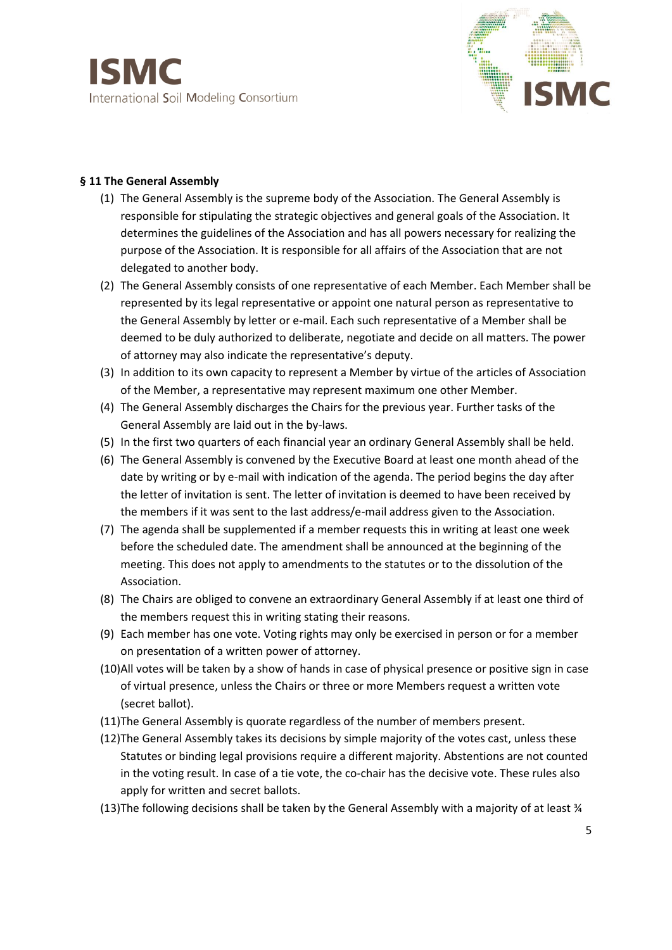

### **§ 11 The General Assembly**

- (1) The General Assembly is the supreme body of the Association. The General Assembly is responsible for stipulating the strategic objectives and general goals of the Association. It determines the guidelines of the Association and has all powers necessary for realizing the purpose of the Association. It is responsible for all affairs of the Association that are not delegated to another body.
- (2) The General Assembly consists of one representative of each Member. Each Member shall be represented by its legal representative or appoint one natural person as representative to the General Assembly by letter or e-mail. Each such representative of a Member shall be deemed to be duly authorized to deliberate, negotiate and decide on all matters. The power of attorney may also indicate the representative's deputy.
- (3) In addition to its own capacity to represent a Member by virtue of the articles of Association of the Member, a representative may represent maximum one other Member.
- (4) The General Assembly discharges the Chairs for the previous year. Further tasks of the General Assembly are laid out in the by-laws.
- (5) In the first two quarters of each financial year an ordinary General Assembly shall be held.
- (6) The General Assembly is convened by the Executive Board at least one month ahead of the date by writing or by e-mail with indication of the agenda. The period begins the day after the letter of invitation is sent. The letter of invitation is deemed to have been received by the members if it was sent to the last address/e-mail address given to the Association.
- (7) The agenda shall be supplemented if a member requests this in writing at least one week before the scheduled date. The amendment shall be announced at the beginning of the meeting. This does not apply to amendments to the statutes or to the dissolution of the Association.
- (8) The Chairs are obliged to convene an extraordinary General Assembly if at least one third of the members request this in writing stating their reasons.
- (9) Each member has one vote. Voting rights may only be exercised in person or for a member on presentation of a written power of attorney.
- (10)All votes will be taken by a show of hands in case of physical presence or positive sign in case of virtual presence, unless the Chairs or three or more Members request a written vote (secret ballot).
- (11)The General Assembly is quorate regardless of the number of members present.
- (12)The General Assembly takes its decisions by simple majority of the votes cast, unless these Statutes or binding legal provisions require a different majority. Abstentions are not counted in the voting result. In case of a tie vote, the co-chair has the decisive vote. These rules also apply for written and secret ballots.
- (13)The following decisions shall be taken by the General Assembly with a majority of at least ¾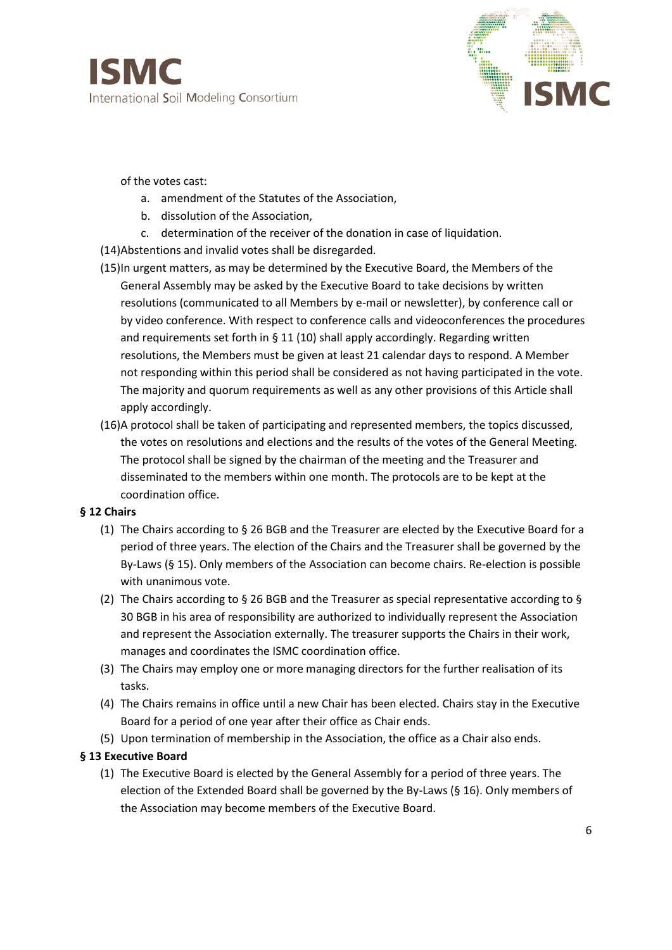

#### of the votes cast:

- a. amendment of the Statutes of the Association,
- b. dissolution of the Association,
- c. determination of the receiver of the donation in case of liquidation.
- (14)Abstentions and invalid votes shall be disregarded.
- (15)In urgent matters, as may be determined by the Executive Board, the Members of the General Assembly may be asked by the Executive Board to take decisions by written resolutions (communicated to all Members by e-mail or newsletter), by conference call or by video conference. With respect to conference calls and videoconferences the procedures and requirements set forth in § 11 (10) shall apply accordingly. Regarding written resolutions, the Members must be given at least 21 calendar days to respond. A Member not responding within this period shall be considered as not having participated in the vote. The majority and quorum requirements as well as any other provisions of this Article shall apply accordingly.
- (16)A protocol shall be taken of participating and represented members, the topics discussed, the votes on resolutions and elections and the results of the votes of the General Meeting. The protocol shall be signed by the chairman of the meeting and the Treasurer and disseminated to the members within one month. The protocols are to be kept at the coordination office.

#### **§ 12 Chairs**

- (1) The Chairs according to § 26 BGB and the Treasurer are elected by the Executive Board for a period of three years. The election of the Chairs and the Treasurer shall be governed by the By-Laws (§ 15). Only members of the Association can become chairs. Re-election is possible with unanimous vote.
- (2) The Chairs according to § 26 BGB and the Treasurer as special representative according to § 30 BGB in his area of responsibility are authorized to individually represent the Association and represent the Association externally. The treasurer supports the Chairs in their work, manages and coordinates the ISMC coordination office.
- (3) The Chairs may employ one or more managing directors for the further realisation of its tasks.
- (4) The Chairs remains in office until a new Chair has been elected. Chairs stay in the Executive Board for a period of one year after their office as Chair ends.
- (5) Upon termination of membership in the Association, the office as a Chair also ends.

## **§ 13 Executive Board**

(1) The Executive Board is elected by the General Assembly for a period of three years. The election of the Extended Board shall be governed by the By-Laws (§ 16). Only members of the Association may become members of the Executive Board.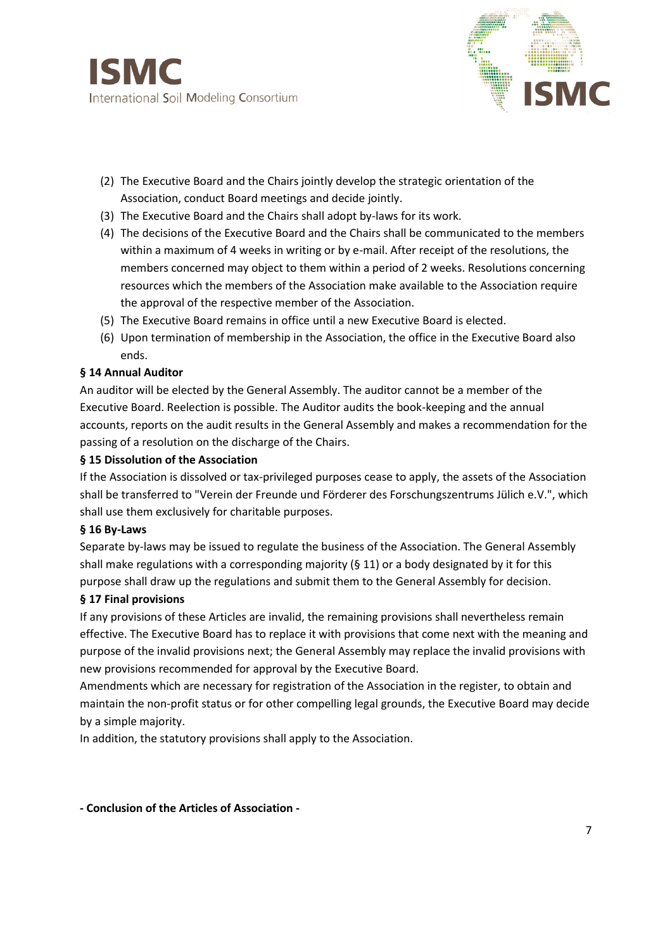



- (2) The Executive Board and the Chairs jointly develop the strategic orientation of the Association, conduct Board meetings and decide jointly.
- (3) The Executive Board and the Chairs shall adopt by-laws for its work.
- (4) The decisions of the Executive Board and the Chairs shall be communicated to the members within a maximum of 4 weeks in writing or by e-mail. After receipt of the resolutions, the members concerned may object to them within a period of 2 weeks. Resolutions concerning resources which the members of the Association make available to the Association require the approval of the respective member of the Association.
- (5) The Executive Board remains in office until a new Executive Board is elected.
- (6) Upon termination of membership in the Association, the office in the Executive Board also ends.

#### **§ 14 Annual Auditor**

An auditor will be elected by the General Assembly. The auditor cannot be a member of the Executive Board. Reelection is possible. The Auditor audits the book-keeping and the annual accounts, reports on the audit results in the General Assembly and makes a recommendation for the passing of a resolution on the discharge of the Chairs.

#### **§ 15 Dissolution of the Association**

If the Association is dissolved or tax-privileged purposes cease to apply, the assets of the Association shall be transferred to "Verein der Freunde und Förderer des Forschungszentrums Jülich e.V.", which shall use them exclusively for charitable purposes.

#### **§ 16 By-Laws**

Separate by-laws may be issued to regulate the business of the Association. The General Assembly shall make regulations with a corresponding majority (§ 11) or a body designated by it for this purpose shall draw up the regulations and submit them to the General Assembly for decision.

#### **§ 17 Final provisions**

If any provisions of these Articles are invalid, the remaining provisions shall nevertheless remain effective. The Executive Board has to replace it with provisions that come next with the meaning and purpose of the invalid provisions next; the General Assembly may replace the invalid provisions with new provisions recommended for approval by the Executive Board.

Amendments which are necessary for registration of the Association in the register, to obtain and maintain the non-profit status or for other compelling legal grounds, the Executive Board may decide by a simple majority.

In addition, the statutory provisions shall apply to the Association.

#### **- Conclusion of the Articles of Association -**